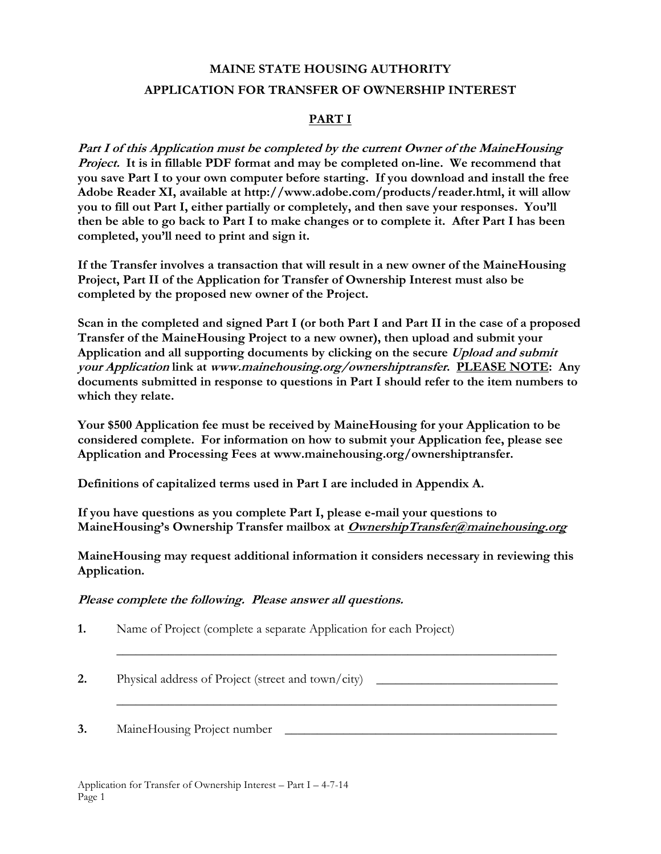# **MAINE STATE HOUSING AUTHORITY APPLICATION FOR TRANSFER OF OWNERSHIP INTEREST**

## **PART I**

**Part I of this Application must be completed by the current Owner of the MaineHousing Project. It is in fillable PDF format and may be completed on-line. We recommend that you save Part I to your own computer before starting. If you download and install the free Adobe Reader XI, available at http://www.adobe.com/products/reader.html, it will allow you to fill out Part I, either partially or completely, and then save your responses. You'll then be able to go back to Part I to make changes or to complete it. After Part I has been completed, you'll need to print and sign it.**

**If the Transfer involves a transaction that will result in a new owner of the MaineHousing Project, Part II of the Application for Transfer of Ownership Interest must also be completed by the proposed new owner of the Project.** 

**Scan in the completed and signed Part I (or both Part I and Part II in the case of a proposed Transfer of the MaineHousing Project to a new owner), then upload and submit your Application and all supporting documents by clicking on the secure Upload and submit your Application link at www.mainehousing.org/ownershiptransfer. PLEASE NOTE: Any documents submitted in response to questions in Part I should refer to the item numbers to which they relate.** 

**Your \$500 Application fee must be received by MaineHousing for your Application to be considered complete. For information on how to submit your Application fee, please see Application and Processing Fees at www.mainehousing.org/ownershiptransfer.** 

**Definitions of capitalized terms used in Part I are included in Appendix A.**

**If you have questions as you complete Part I, please e-mail your questions to MaineHousing's Ownership Transfer mailbox at OwnershipTransfer@mainehousing.org**

**MaineHousing may request additional information it considers necessary in reviewing this Application.**

**\_\_\_\_\_\_\_\_\_\_\_\_\_\_\_\_\_\_\_\_\_\_\_\_\_\_\_\_\_\_\_\_\_\_\_\_\_\_\_\_\_\_\_\_\_\_\_\_\_\_\_\_\_\_\_\_\_\_\_\_\_\_\_\_\_\_\_\_**

**\_\_\_\_\_\_\_\_\_\_\_\_\_\_\_\_\_\_\_\_\_\_\_\_\_\_\_\_\_\_\_\_\_\_\_\_\_\_\_\_\_\_\_\_\_\_\_\_\_\_\_\_\_\_\_\_\_\_\_\_\_\_\_\_\_\_\_\_**

#### **Please complete the following. Please answer all questions.**

- **1.** Name of Project (complete a separate Application for each Project)
- **2.** Physical address of Project (street and town/city) **\_\_\_\_\_\_\_\_\_\_\_\_\_\_\_\_\_\_\_\_\_\_\_\_\_\_\_\_**
- **3.** MaineHousing Project number **\_\_\_\_\_\_\_\_\_\_\_\_\_\_\_\_\_\_\_\_\_\_\_\_\_\_\_\_\_\_\_\_\_\_\_\_\_\_\_\_\_\_**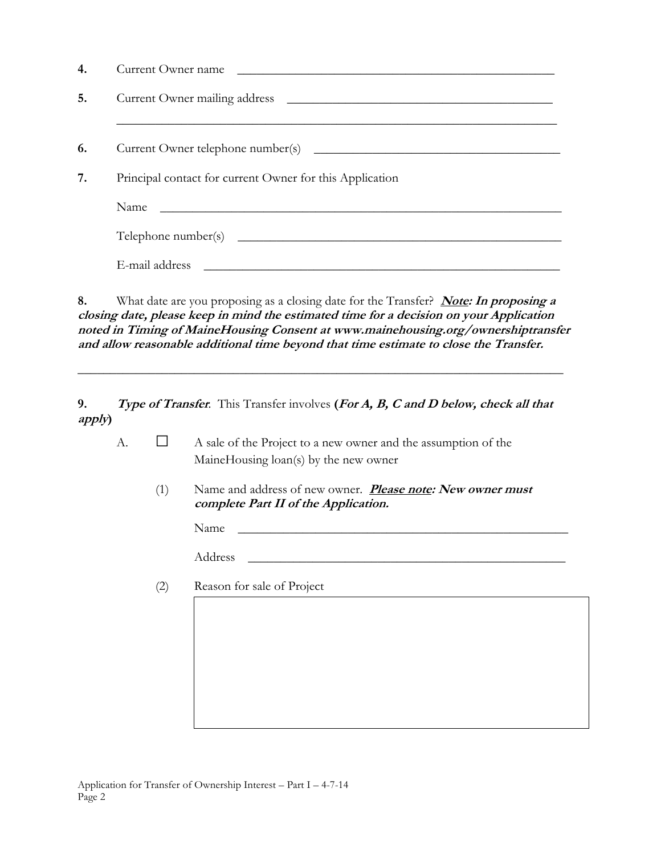| 4. | Current Owner name                                                                                                                                                                                                             |
|----|--------------------------------------------------------------------------------------------------------------------------------------------------------------------------------------------------------------------------------|
| 5. | Current Owner mailing address the contract of the contract of the contract of the contract of the contract of the contract of the contract of the contract of the contract of the contract of the contract of the contract of  |
| 6. | Current Owner telephone number(s)                                                                                                                                                                                              |
| 7. | Principal contact for current Owner for this Application                                                                                                                                                                       |
|    |                                                                                                                                                                                                                                |
|    |                                                                                                                                                                                                                                |
|    | E-mail address and the contract of the contract of the contract of the contract of the contract of the contract of the contract of the contract of the contract of the contract of the contract of the contract of the contrac |
|    |                                                                                                                                                                                                                                |

**8.** What date are you proposing as a closing date for the Transfer? **Note: In proposing <sup>a</sup> closing date, please keep in mind the estimated time for a decision on your Application noted in Timing of MaineHousing Consent at www.mainehousing.org/ownershiptransfer and allow reasonable additional time beyond that time estimate to close the Transfer.**

**\_\_\_\_\_\_\_\_\_\_\_\_\_\_\_\_\_\_\_\_\_\_\_\_\_\_\_\_\_\_\_\_\_\_\_\_\_\_\_\_\_\_\_\_\_\_\_\_\_\_\_\_\_\_\_\_\_\_\_\_\_\_\_\_\_\_\_\_\_\_\_\_\_\_\_**

**9. Type of Transfer**. This Transfer involves **(For A, B, C and D below, check all that apply)**

- A.  $\Box$  A sale of the Project to a new owner and the assumption of the MaineHousing loan(s) by the new owner
	- (1) Name and address of new owner. **Please note: New owner must complete Part II of the Application.**

Name **Letters** 

Address **\_\_\_\_\_\_\_\_\_\_\_\_\_\_\_\_\_\_\_\_\_\_\_\_\_\_\_\_\_\_\_\_\_\_\_\_\_\_\_\_\_\_\_\_\_\_\_\_\_**

(2) Reason for sale of Project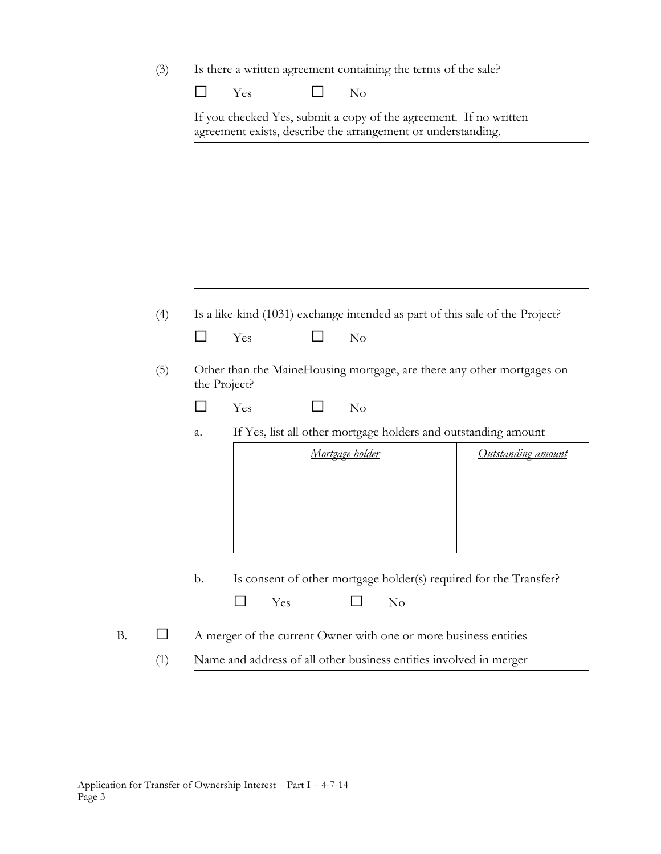(3) Is there a written agreement containing the terms of the sale?

 $\Box$  Yes  $\Box$  No

If you checked Yes, submit a copy of the agreement. If no written agreement exists, describe the arrangement or understanding.

|    | (4) |                |     |     |                 |                                                                  | Is a like-kind (1031) exchange intended as part of this sale of the Project? |
|----|-----|----------------|-----|-----|-----------------|------------------------------------------------------------------|------------------------------------------------------------------------------|
|    |     |                | Yes |     | No              |                                                                  |                                                                              |
|    | (5) | the Project?   |     |     |                 |                                                                  | Other than the MaineHousing mortgage, are there any other mortgages on       |
|    |     |                | Yes |     | No              |                                                                  |                                                                              |
|    |     | a.             |     |     |                 |                                                                  | If Yes, list all other mortgage holders and outstanding amount               |
|    |     |                |     |     | Mortgage holder |                                                                  | Outstanding amount                                                           |
|    |     |                |     |     |                 |                                                                  |                                                                              |
|    |     |                |     |     |                 |                                                                  |                                                                              |
|    |     |                |     |     |                 |                                                                  |                                                                              |
|    |     |                |     |     |                 |                                                                  |                                                                              |
|    |     |                |     |     |                 |                                                                  |                                                                              |
|    |     | $\mathbf{b}$ . |     |     |                 |                                                                  | Is consent of other mortgage holder(s) required for the Transfer?            |
|    |     |                |     |     |                 |                                                                  |                                                                              |
|    |     |                |     | Yes |                 | $\rm No$                                                         |                                                                              |
|    |     |                |     |     |                 |                                                                  |                                                                              |
| Β. |     |                |     |     |                 | A merger of the current Owner with one or more business entities |                                                                              |
|    | (1) |                |     |     |                 |                                                                  | Name and address of all other business entities involved in merger           |
|    |     |                |     |     |                 |                                                                  |                                                                              |
|    |     |                |     |     |                 |                                                                  |                                                                              |
|    |     |                |     |     |                 |                                                                  |                                                                              |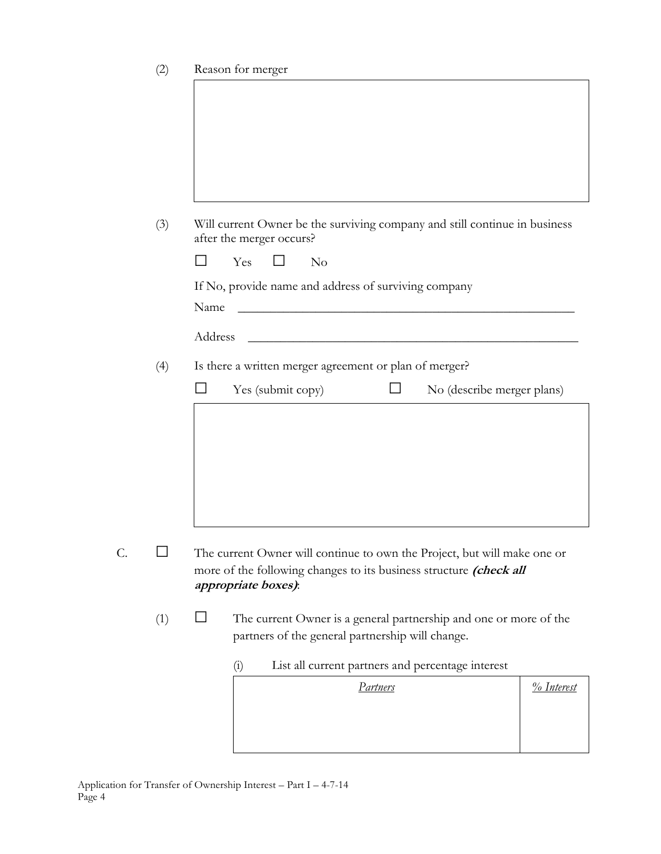|    | (3) | Will current Owner be the surviving company and still continue in business<br>after the merger occurs?                                                                |
|----|-----|-----------------------------------------------------------------------------------------------------------------------------------------------------------------------|
|    |     | Yes<br>No                                                                                                                                                             |
|    |     | If No, provide name and address of surviving company                                                                                                                  |
|    |     | <u> 1980 - John Stein, amerikansk politiker (</u><br>Name                                                                                                             |
|    |     | Address<br><u> 1989 - Johann Barbert, mars ar breithinn ar breithinn an dùthchan an dùthchan an dùthchan an dùthchan an dùt</u>                                       |
|    | (4) | Is there a written merger agreement or plan of merger?                                                                                                                |
|    |     | Yes (submit copy)<br>No (describe merger plans)                                                                                                                       |
|    |     |                                                                                                                                                                       |
| Ċ. |     | The current Owner will continue to own the Project, but will make one or<br>more of the following changes to its business structure (check all<br>appropriate boxes): |
|    | (1) | The current Owner is a general partnership and one or more of the<br>partners of the general partnership will change.                                                 |
|    |     | List all current partners and percentage interest<br>(i)                                                                                                              |
|    |     | <u>Partners</u><br><u>% Interest</u>                                                                                                                                  |
|    |     |                                                                                                                                                                       |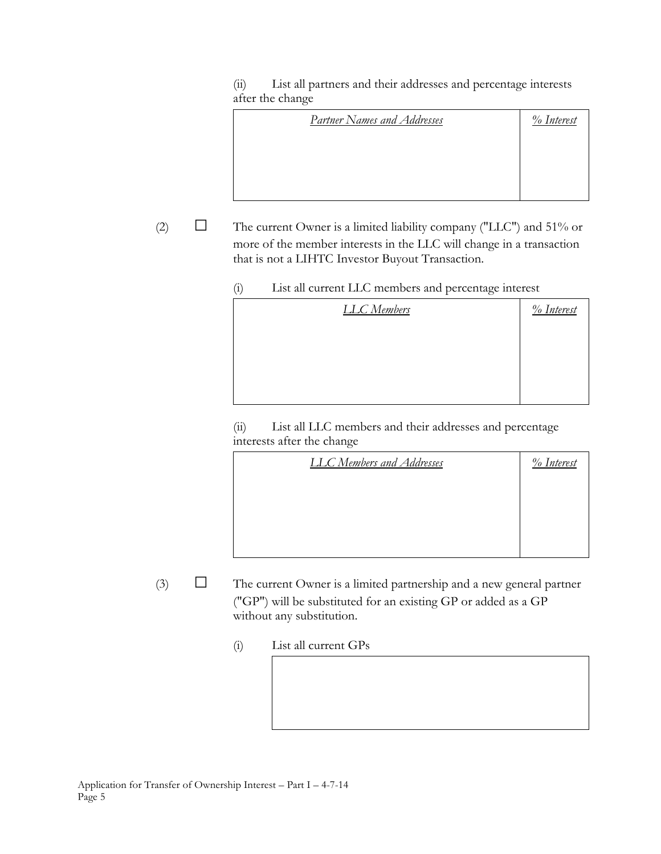(ii) List all partners and their addresses and percentage interests after the change

| <b>Partner Names and Addresses</b> | $%$ Interest |
|------------------------------------|--------------|
|                                    |              |
|                                    |              |
|                                    |              |

(2)  $\Box$  The current Owner is a limited liability company ("LLC") and 51% or more of the member interests in the LLC will change in a transaction that is not a LIHTC Investor Buyout Transaction.

(i) List all current LLC members and percentage interest

| <b>LLC</b> Members | $\%$ Interest |
|--------------------|---------------|
|                    |               |
|                    |               |
|                    |               |
|                    |               |

(ii) List all LLC members and their addresses and percentage interests after the change

| <b>LLC</b> Members and Addresses | $%$ Interest |
|----------------------------------|--------------|
|                                  |              |
|                                  |              |
|                                  |              |
|                                  |              |

(3)  $\Box$  The current Owner is a limited partnership and a new general partner ("GP") will be substituted for an existing GP or added as a GP without any substitution.

(i) List all current GPs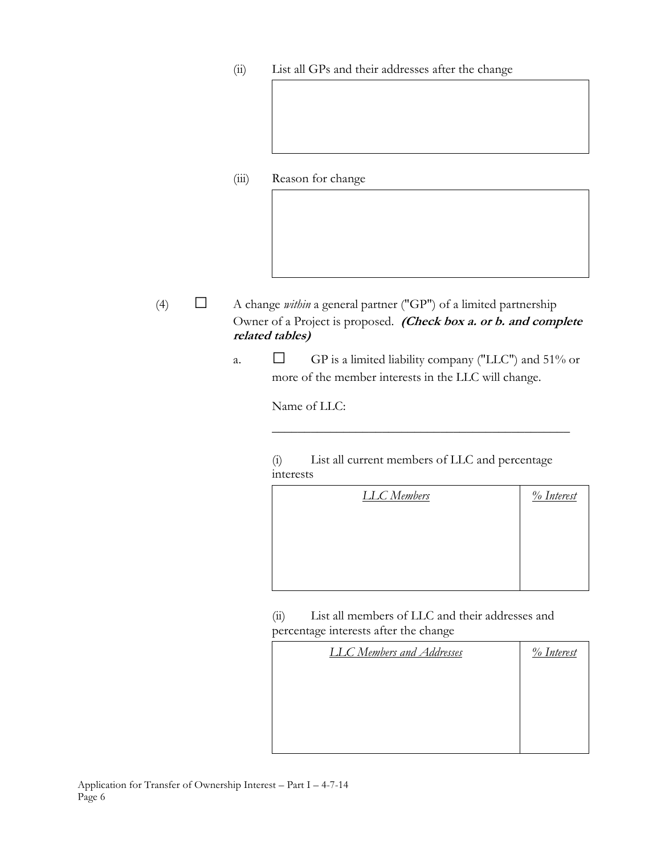(ii) List all GPs and their addresses after the change

(iii) Reason for change

- (4) □ A change *within* a general partner ("GP") of a limited partnership Owner of a Project is proposed. **(Check box a. or b. and complete related tables)**
	- a.  $\Box$  GP is a limited liability company ("LLC") and 51% or more of the member interests in the LLC will change.

Name of LLC:

(i) List all current members of LLC and percentage interests

**\_\_\_\_\_\_\_\_\_\_\_\_\_\_\_\_\_\_\_\_\_\_\_\_\_\_\_\_\_\_\_\_\_\_\_\_\_\_\_\_\_\_\_\_\_\_**

| <b>LLC</b> Members | % Interest |
|--------------------|------------|
|                    |            |
|                    |            |
|                    |            |
|                    |            |

(ii) List all members of LLC and their addresses and percentage interests after the change

| <b>LLC</b> Members and Addresses | $\frac{\%}{\%}$ Interest |
|----------------------------------|--------------------------|
|                                  |                          |
|                                  |                          |
|                                  |                          |
|                                  |                          |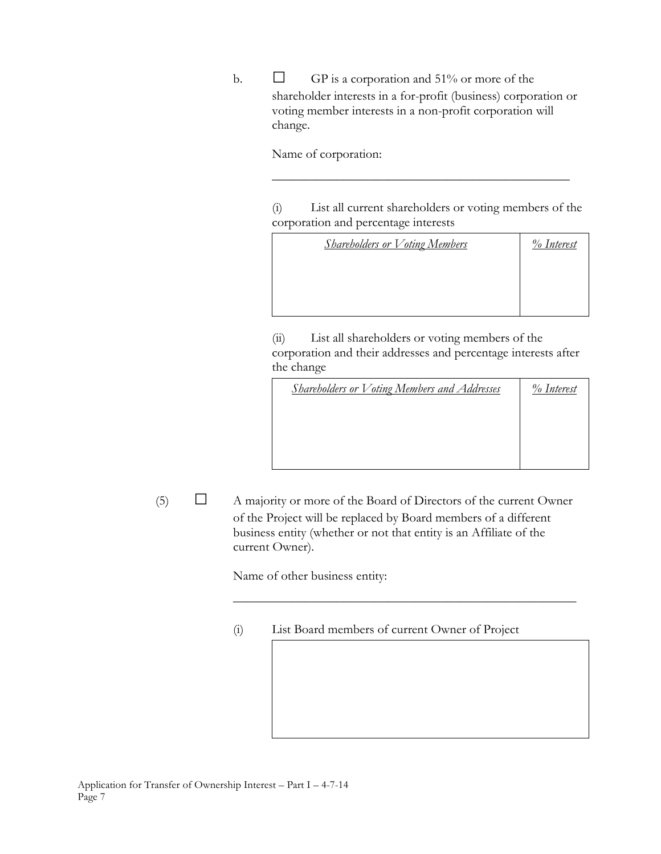b.  $\Box$  GP is a corporation and 51% or more of the shareholder interests in a for-profit (business) corporation or voting member interests in a non-profit corporation will change.

Name of corporation:

(i) List all current shareholders or voting members of the corporation and percentage interests

**\_\_\_\_\_\_\_\_\_\_\_\_\_\_\_\_\_\_\_\_\_\_\_\_\_\_\_\_\_\_\_\_\_\_\_\_\_\_\_\_\_\_\_\_\_\_**

| <b>Shareholders or Voting Members</b> | % Interest |
|---------------------------------------|------------|
|                                       |            |
|                                       |            |
|                                       |            |

(ii) List all shareholders or voting members of the corporation and their addresses and percentage interests after the change

| <b>Shareholders or Voting Members and Addresses</b> | % Interest |
|-----------------------------------------------------|------------|
|                                                     |            |
|                                                     |            |
|                                                     |            |

(5)  $\Box$  A majority or more of the Board of Directors of the current Owner of the Project will be replaced by Board members of a different business entity (whether or not that entity is an Affiliate of the current Owner).

Name of other business entity:

(i) List Board members of current Owner of Project

**\_\_\_\_\_\_\_\_\_\_\_\_\_\_\_\_\_\_\_\_\_\_\_\_\_\_\_\_\_\_\_\_\_\_\_\_\_\_\_\_\_\_\_\_\_\_\_\_\_\_\_\_\_**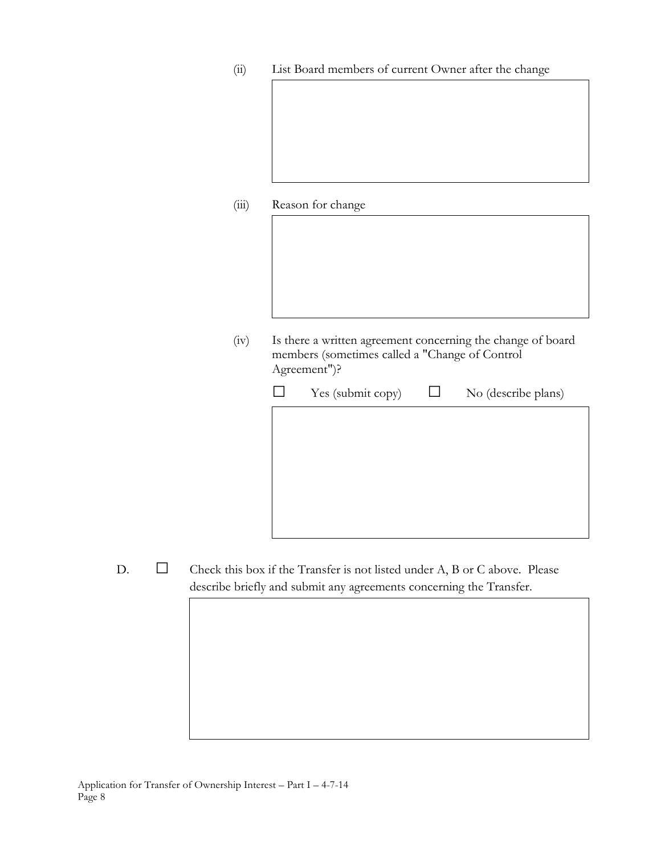- (ii) List Board members of current Owner after the change (iii) Reason for change (iv) Is there a written agreement concerning the change of board members (sometimes called a "Change of Control Agreement")?  $\Box$  Yes (submit copy)  $\Box$  No (describe plans)
- D.  $\Box$  Check this box if the Transfer is not listed under A, B or C above. Please describe briefly and submit any agreements concerning the Transfer.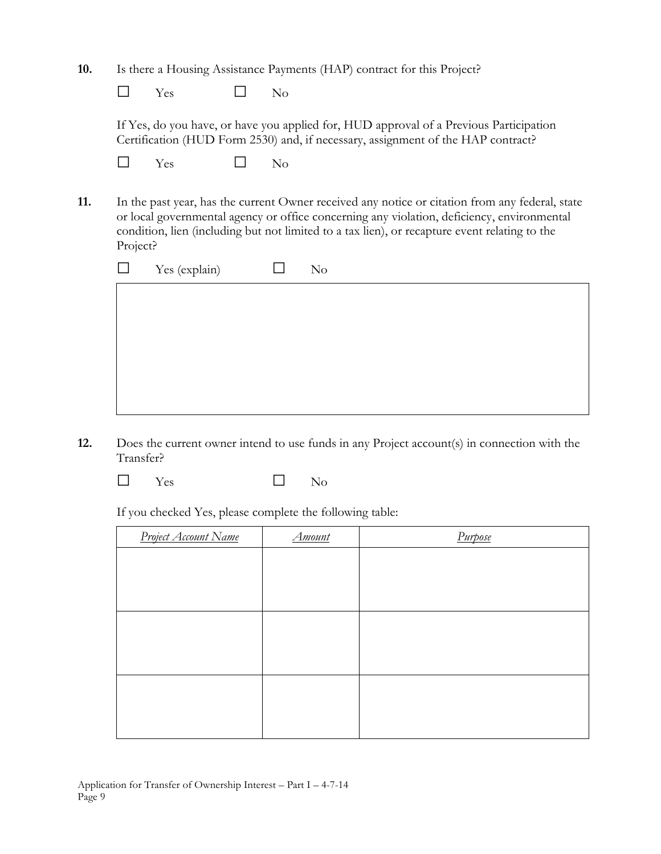| 10. | Is there a Housing Assistance Payments (HAP) contract for this Project? |  |  |
|-----|-------------------------------------------------------------------------|--|--|
|     |                                                                         |  |  |

 $\Box$  Yes  $\Box$  No

If Yes, do you have, or have you applied for, HUD approval of a Previous Participation Certification (HUD Form 2530) and, if necessary, assignment of the HAP contract?

 $\Box$  Yes  $\Box$  No

**11.** In the past year, has the current Owner received any notice or citation from any federal, state or local governmental agency or office concerning any violation, deficiency, environmental condition, lien (including but not limited to a tax lien), or recapture event relating to the Project?

| $\Box$ Yes (explain) $\Box$ No |  |
|--------------------------------|--|
|                                |  |
|                                |  |
|                                |  |
|                                |  |
|                                |  |

- **12.** Does the current owner intend to use funds in any Project account(s) in connection with the Transfer?
	- □ Yes □ No

If you checked Yes, please complete the following table:

| <b>Project Account Name</b> | <b>Amount</b> | Purpose |
|-----------------------------|---------------|---------|
|                             |               |         |
|                             |               |         |
|                             |               |         |
|                             |               |         |
|                             |               |         |
|                             |               |         |
|                             |               |         |
|                             |               |         |
|                             |               |         |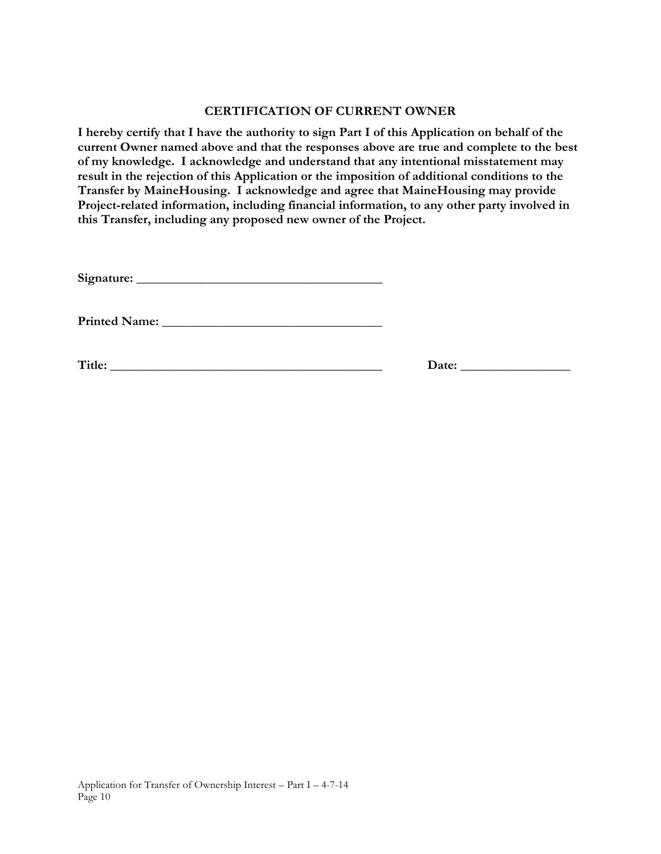#### **CERTIFICATION OF CURRENT OWNER**

**I hereby certify that I have the authority to sign Part I of this Application on behalf of the current Owner named above and that the responses above are true and complete to the best of my knowledge. I acknowledge and understand that any intentional misstatement may result in the rejection of this Application or the imposition of additional conditions to the Transfer by MaineHousing. I acknowledge and agree that MaineHousing may provide Project-related information, including financial information, to any other party involved in this Transfer, including any proposed new owner of the Project.**

**Signature: \_\_\_\_\_\_\_\_\_\_\_\_\_\_\_\_\_\_\_\_\_\_\_\_\_\_\_\_\_\_\_\_\_\_\_\_\_\_**

**Printed Name: \_\_\_\_\_\_\_\_\_\_\_\_\_\_\_\_\_\_\_\_\_\_\_\_\_\_\_\_\_\_\_\_\_\_**

**Title: \_\_\_\_\_\_\_\_\_\_\_\_\_\_\_\_\_\_\_\_\_\_\_\_\_\_\_\_\_\_\_\_\_\_\_\_\_\_\_\_\_\_ Date: \_\_\_\_\_\_\_\_\_\_\_\_\_\_\_\_\_**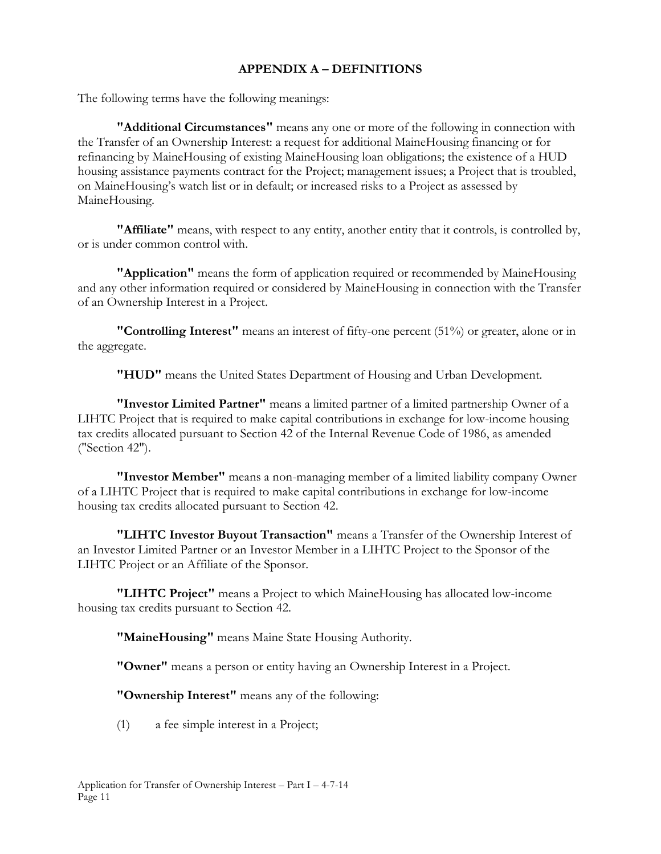### **APPENDIX A – DEFINITIONS**

The following terms have the following meanings:

**"Additional Circumstances"** means any one or more of the following in connection with the Transfer of an Ownership Interest: a request for additional MaineHousing financing or for refinancing by MaineHousing of existing MaineHousing loan obligations; the existence of a HUD housing assistance payments contract for the Project; management issues; a Project that is troubled, on MaineHousing's watch list or in default; or increased risks to a Project as assessed by MaineHousing.

**"Affiliate"** means, with respect to any entity, another entity that it controls, is controlled by, or is under common control with.

**"Application"** means the form of application required or recommended by MaineHousing and any other information required or considered by MaineHousing in connection with the Transfer of an Ownership Interest in a Project.

**"Controlling Interest"** means an interest of fifty-one percent (51%) or greater, alone or in the aggregate.

**"HUD"** means the United States Department of Housing and Urban Development.

**"Investor Limited Partner"** means a limited partner of a limited partnership Owner of a LIHTC Project that is required to make capital contributions in exchange for low-income housing tax credits allocated pursuant to Section 42 of the Internal Revenue Code of 1986, as amended ("Section 42").

**"Investor Member"** means a non-managing member of a limited liability company Owner of a LIHTC Project that is required to make capital contributions in exchange for low-income housing tax credits allocated pursuant to Section 42.

**"LIHTC Investor Buyout Transaction"** means a Transfer of the Ownership Interest of an Investor Limited Partner or an Investor Member in a LIHTC Project to the Sponsor of the LIHTC Project or an Affiliate of the Sponsor.

**"LIHTC Project"** means a Project to which MaineHousing has allocated low-income housing tax credits pursuant to Section 42.

**"MaineHousing"** means Maine State Housing Authority.

**"Owner"** means a person or entity having an Ownership Interest in a Project.

**"Ownership Interest"** means any of the following:

(1) a fee simple interest in a Project;